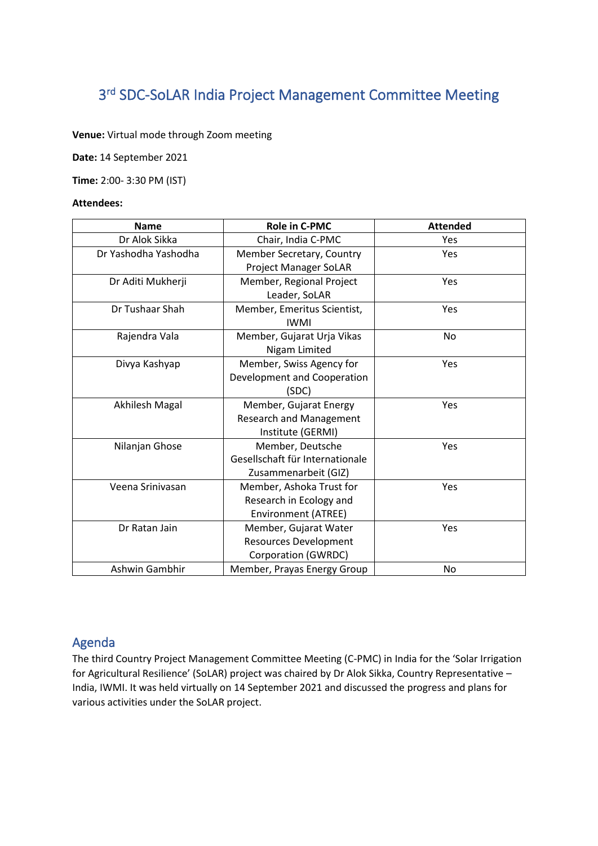# 3<sup>rd</sup> SDC-SoLAR India Project Management Committee Meeting

**Venue:** Virtual mode through Zoom meeting

**Date:** 14 September 2021

**Time:** 2:00- 3:30 PM (IST)

#### **Attendees:**

| <b>Name</b>          | Role in C-PMC                   | <b>Attended</b> |
|----------------------|---------------------------------|-----------------|
| Dr Alok Sikka        | Chair, India C-PMC              | Yes             |
| Dr Yashodha Yashodha | Member Secretary, Country       | Yes             |
|                      | Project Manager SoLAR           |                 |
| Dr Aditi Mukherji    | Member, Regional Project        | Yes             |
|                      | Leader, SoLAR                   |                 |
| Dr Tushaar Shah      | Member, Emeritus Scientist,     | Yes             |
|                      | <b>IWMI</b>                     |                 |
| Rajendra Vala        | Member, Gujarat Urja Vikas      | No              |
|                      | Nigam Limited                   |                 |
| Divya Kashyap        | Member, Swiss Agency for        | Yes             |
|                      | Development and Cooperation     |                 |
|                      | (SDC)                           |                 |
| Akhilesh Magal       | Member, Gujarat Energy          | Yes             |
|                      | <b>Research and Management</b>  |                 |
|                      | Institute (GERMI)               |                 |
| Nilanjan Ghose       | Member, Deutsche                | Yes             |
|                      | Gesellschaft für Internationale |                 |
|                      | Zusammenarbeit (GIZ)            |                 |
| Veena Srinivasan     | Member, Ashoka Trust for        | Yes             |
|                      | Research in Ecology and         |                 |
|                      | Environment (ATREE)             |                 |
| Dr Ratan Jain        | Member, Gujarat Water           | Yes             |
|                      | <b>Resources Development</b>    |                 |
|                      | Corporation (GWRDC)             |                 |
| Ashwin Gambhir       | Member, Prayas Energy Group     | No              |

## Agenda

The third Country Project Management Committee Meeting (C-PMC) in India for the 'Solar Irrigation for Agricultural Resilience' (SoLAR) project was chaired by Dr Alok Sikka, Country Representative – India, IWMI. It was held virtually on 14 September 2021 and discussed the progress and plans for various activities under the SoLAR project.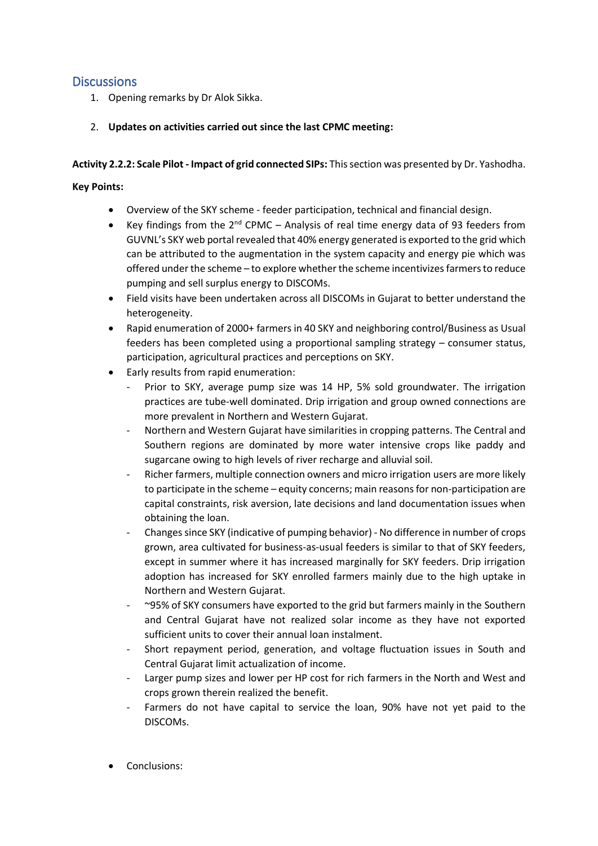# **Discussions**

- 1. Opening remarks by Dr Alok Sikka.
- 2. **Updates on activities carried out since the last CPMC meeting:**

**Activity 2.2.2: Scale Pilot - Impact of grid connected SIPs:** This section was presented by Dr. Yashodha.

#### **Key Points:**

- Overview of the SKY scheme feeder participation, technical and financial design.
- Key findings from the  $2^{nd}$  CPMC Analysis of real time energy data of 93 feeders from GUVNL's SKY web portal revealed that 40% energy generated is exported to the grid which can be attributed to the augmentation in the system capacity and energy pie which was offered under the scheme – to explore whether the scheme incentivizes farmers to reduce pumping and sell surplus energy to DISCOMs.
- Field visits have been undertaken across all DISCOMs in Gujarat to better understand the heterogeneity.
- Rapid enumeration of 2000+ farmers in 40 SKY and neighboring control/Business as Usual feeders has been completed using a proportional sampling strategy – consumer status, participation, agricultural practices and perceptions on SKY.
- Early results from rapid enumeration:
	- Prior to SKY, average pump size was 14 HP, 5% sold groundwater. The irrigation practices are tube-well dominated. Drip irrigation and group owned connections are more prevalent in Northern and Western Gujarat.
	- Northern and Western Gujarat have similarities in cropping patterns. The Central and Southern regions are dominated by more water intensive crops like paddy and sugarcane owing to high levels of river recharge and alluvial soil.
	- Richer farmers, multiple connection owners and micro irrigation users are more likely to participate in the scheme – equity concerns; main reasons for non-participation are capital constraints, risk aversion, late decisions and land documentation issues when obtaining the loan.
	- Changes since SKY (indicative of pumping behavior) No difference in number of crops grown, area cultivated for business-as-usual feeders is similar to that of SKY feeders, except in summer where it has increased marginally for SKY feeders. Drip irrigation adoption has increased for SKY enrolled farmers mainly due to the high uptake in Northern and Western Gujarat.
	- $\sim$ 95% of SKY consumers have exported to the grid but farmers mainly in the Southern and Central Gujarat have not realized solar income as they have not exported sufficient units to cover their annual loan instalment.
	- Short repayment period, generation, and voltage fluctuation issues in South and Central Gujarat limit actualization of income.
	- Larger pump sizes and lower per HP cost for rich farmers in the North and West and crops grown therein realized the benefit.
	- Farmers do not have capital to service the loan, 90% have not yet paid to the DISCOMs.
- Conclusions: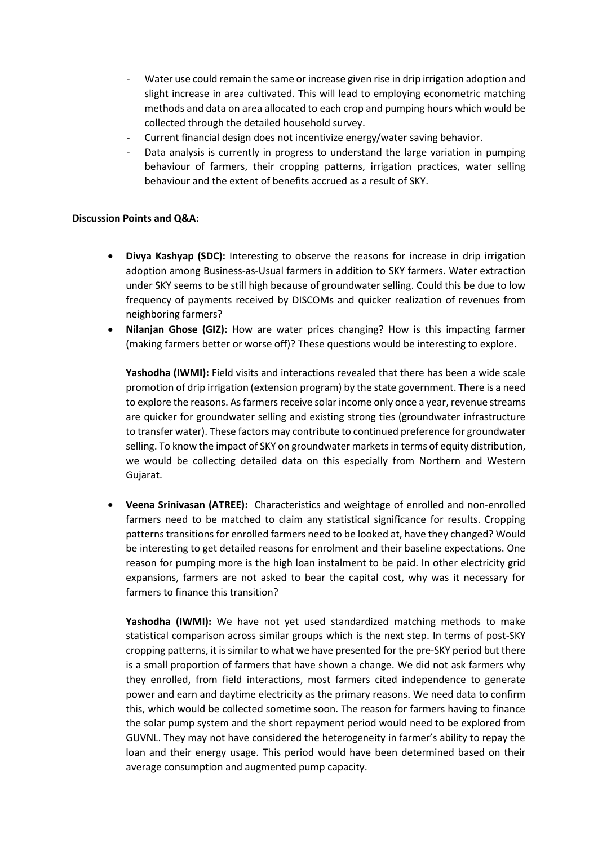- Water use could remain the same or increase given rise in drip irrigation adoption and slight increase in area cultivated. This will lead to employing econometric matching methods and data on area allocated to each crop and pumping hours which would be collected through the detailed household survey.
- Current financial design does not incentivize energy/water saving behavior.
- Data analysis is currently in progress to understand the large variation in pumping behaviour of farmers, their cropping patterns, irrigation practices, water selling behaviour and the extent of benefits accrued as a result of SKY.

#### **Discussion Points and Q&A:**

- **Divya Kashyap (SDC):** Interesting to observe the reasons for increase in drip irrigation adoption among Business-as-Usual farmers in addition to SKY farmers. Water extraction under SKY seems to be still high because of groundwater selling. Could this be due to low frequency of payments received by DISCOMs and quicker realization of revenues from neighboring farmers?
- **Nilanjan Ghose (GIZ):** How are water prices changing? How is this impacting farmer (making farmers better or worse off)? These questions would be interesting to explore.

**Yashodha (IWMI):** Field visits and interactions revealed that there has been a wide scale promotion of drip irrigation (extension program) by the state government. There is a need to explore the reasons. As farmers receive solar income only once a year, revenue streams are quicker for groundwater selling and existing strong ties (groundwater infrastructure to transfer water). These factors may contribute to continued preference for groundwater selling. To know the impact of SKY on groundwater marketsin terms of equity distribution, we would be collecting detailed data on this especially from Northern and Western Gujarat.

• **Veena Srinivasan (ATREE):** Characteristics and weightage of enrolled and non-enrolled farmers need to be matched to claim any statistical significance for results. Cropping patterns transitions for enrolled farmers need to be looked at, have they changed? Would be interesting to get detailed reasons for enrolment and their baseline expectations. One reason for pumping more is the high loan instalment to be paid. In other electricity grid expansions, farmers are not asked to bear the capital cost, why was it necessary for farmers to finance this transition?

**Yashodha (IWMI):** We have not yet used standardized matching methods to make statistical comparison across similar groups which is the next step. In terms of post-SKY cropping patterns, it is similar to what we have presented for the pre-SKY period but there is a small proportion of farmers that have shown a change. We did not ask farmers why they enrolled, from field interactions, most farmers cited independence to generate power and earn and daytime electricity as the primary reasons. We need data to confirm this, which would be collected sometime soon. The reason for farmers having to finance the solar pump system and the short repayment period would need to be explored from GUVNL. They may not have considered the heterogeneity in farmer's ability to repay the loan and their energy usage. This period would have been determined based on their average consumption and augmented pump capacity.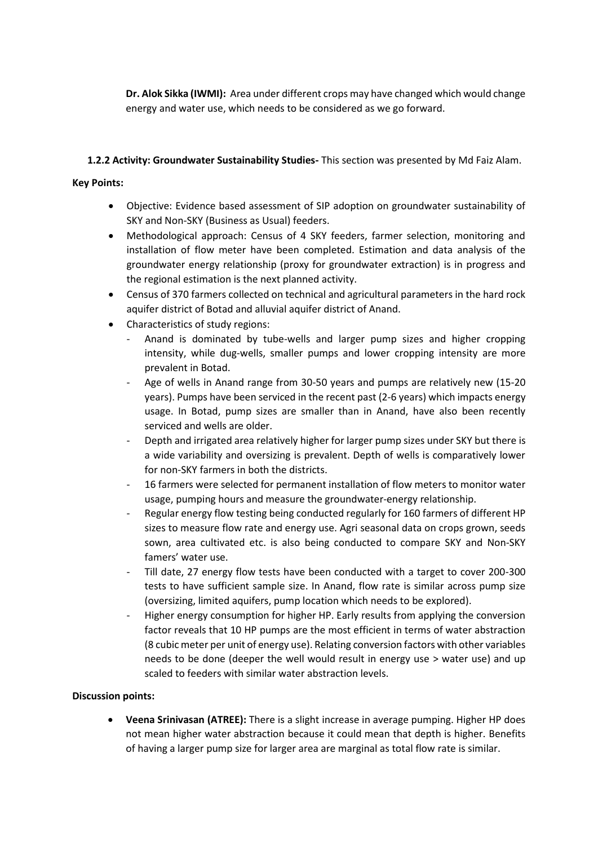**Dr. Alok Sikka (IWMI):** Area under different crops may have changed which would change energy and water use, which needs to be considered as we go forward.

## **1.2.2 Activity: Groundwater Sustainability Studies-** This section was presented by Md Faiz Alam.

## **Key Points:**

- Objective: Evidence based assessment of SIP adoption on groundwater sustainability of SKY and Non-SKY (Business as Usual) feeders.
- Methodological approach: Census of 4 SKY feeders, farmer selection, monitoring and installation of flow meter have been completed. Estimation and data analysis of the groundwater energy relationship (proxy for groundwater extraction) is in progress and the regional estimation is the next planned activity.
- Census of 370 farmers collected on technical and agricultural parameters in the hard rock aquifer district of Botad and alluvial aquifer district of Anand.
- Characteristics of study regions:
	- Anand is dominated by tube-wells and larger pump sizes and higher cropping intensity, while dug-wells, smaller pumps and lower cropping intensity are more prevalent in Botad.
	- Age of wells in Anand range from 30-50 years and pumps are relatively new (15-20) years). Pumps have been serviced in the recent past (2-6 years) which impacts energy usage. In Botad, pump sizes are smaller than in Anand, have also been recently serviced and wells are older.
	- Depth and irrigated area relatively higher for larger pump sizes under SKY but there is a wide variability and oversizing is prevalent. Depth of wells is comparatively lower for non-SKY farmers in both the districts.
	- 16 farmers were selected for permanent installation of flow meters to monitor water usage, pumping hours and measure the groundwater-energy relationship.
	- Regular energy flow testing being conducted regularly for 160 farmers of different HP sizes to measure flow rate and energy use. Agri seasonal data on crops grown, seeds sown, area cultivated etc. is also being conducted to compare SKY and Non-SKY famers' water use.
	- Till date, 27 energy flow tests have been conducted with a target to cover 200-300 tests to have sufficient sample size. In Anand, flow rate is similar across pump size (oversizing, limited aquifers, pump location which needs to be explored).
	- Higher energy consumption for higher HP. Early results from applying the conversion factor reveals that 10 HP pumps are the most efficient in terms of water abstraction (8 cubic meter per unit of energy use). Relating conversion factors with other variables needs to be done (deeper the well would result in energy use > water use) and up scaled to feeders with similar water abstraction levels.

## **Discussion points:**

• **Veena Srinivasan (ATREE):** There is a slight increase in average pumping. Higher HP does not mean higher water abstraction because it could mean that depth is higher. Benefits of having a larger pump size for larger area are marginal as total flow rate is similar.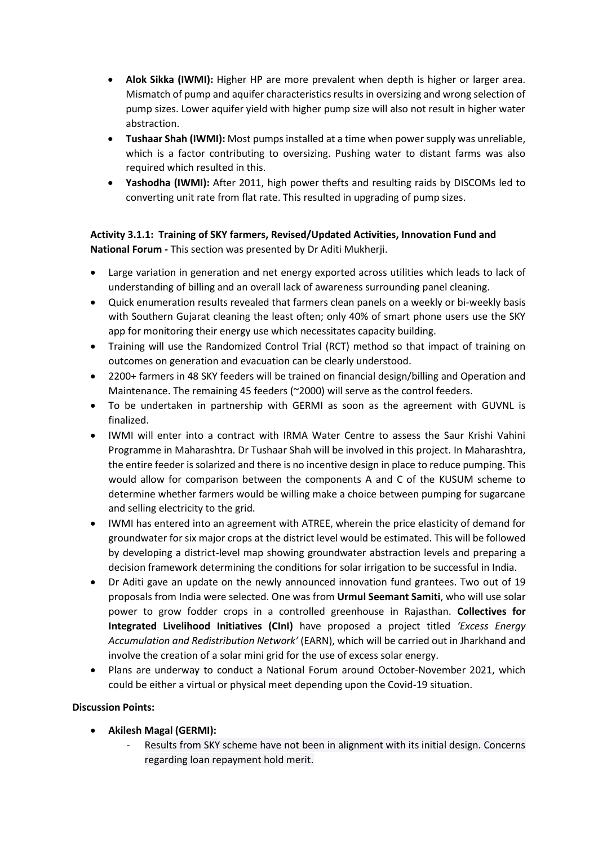- **Alok Sikka (IWMI):** Higher HP are more prevalent when depth is higher or larger area. Mismatch of pump and aquifer characteristics results in oversizing and wrong selection of pump sizes. Lower aquifer yield with higher pump size will also not result in higher water abstraction.
- **Tushaar Shah (IWMI):** Most pumps installed at a time when power supply was unreliable, which is a factor contributing to oversizing. Pushing water to distant farms was also required which resulted in this.
- **Yashodha (IWMI):** After 2011, high power thefts and resulting raids by DISCOMs led to converting unit rate from flat rate. This resulted in upgrading of pump sizes.

# **Activity 3.1.1: Training of SKY farmers, Revised/Updated Activities, Innovation Fund and National Forum -** This section was presented by Dr Aditi Mukherji.

- Large variation in generation and net energy exported across utilities which leads to lack of understanding of billing and an overall lack of awareness surrounding panel cleaning.
- Quick enumeration results revealed that farmers clean panels on a weekly or bi-weekly basis with Southern Gujarat cleaning the least often; only 40% of smart phone users use the SKY app for monitoring their energy use which necessitates capacity building.
- Training will use the Randomized Control Trial (RCT) method so that impact of training on outcomes on generation and evacuation can be clearly understood.
- 2200+ farmers in 48 SKY feeders will be trained on financial design/billing and Operation and Maintenance. The remaining 45 feeders (~2000) will serve as the control feeders.
- To be undertaken in partnership with GERMI as soon as the agreement with GUVNL is finalized.
- IWMI will enter into a contract with IRMA Water Centre to assess the Saur Krishi Vahini Programme in Maharashtra. Dr Tushaar Shah will be involved in this project. In Maharashtra, the entire feeder is solarized and there is no incentive design in place to reduce pumping. This would allow for comparison between the components A and C of the KUSUM scheme to determine whether farmers would be willing make a choice between pumping for sugarcane and selling electricity to the grid.
- IWMI has entered into an agreement with ATREE, wherein the price elasticity of demand for groundwater for six major crops at the district level would be estimated. This will be followed by developing a district-level map showing groundwater abstraction levels and preparing a decision framework determining the conditions for solar irrigation to be successful in India.
- Dr Aditi gave an update on the newly announced innovation fund grantees. Two out of 19 proposals from India were selected. One was from **Urmul Seemant Samiti**, who will use solar power to grow fodder crops in a controlled greenhouse in Rajasthan. **Collectives for Integrated Livelihood Initiatives (CInI)** have proposed a project titled *'Excess Energy Accumulation and Redistribution Network'* (EARN), which will be carried out in Jharkhand and involve the creation of a solar mini grid for the use of excess solar energy.
- Plans are underway to conduct a National Forum around October-November 2021, which could be either a virtual or physical meet depending upon the Covid-19 situation.

## **Discussion Points:**

- **Akilesh Magal (GERMI):** 
	- Results from SKY scheme have not been in alignment with its initial design. Concerns regarding loan repayment hold merit.